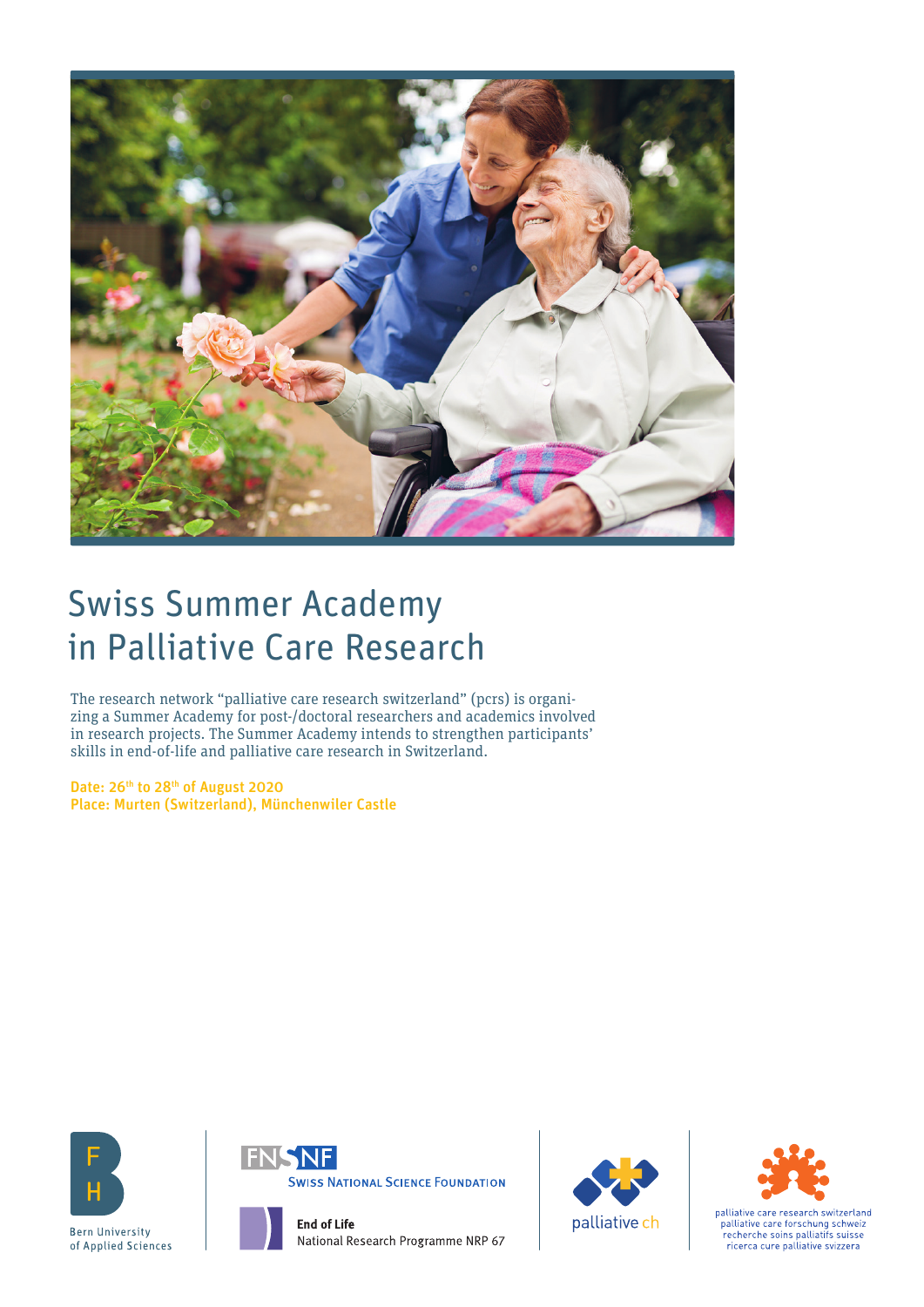

# Swiss Summer Academy in Palliative Care Research

The research network "palliative care research switzerland" (pcrs) is organizing a Summer Academy for post-/doctoral researchers and academics involved in research projects. The Summer Academy intends to strengthen participants' skills in end-of-life and palliative care research in Switzerland.

Date: 26<sup>th</sup> to 28<sup>th</sup> of August 2020 Place: Murten (Switzerland), Münchenwiler Castle











palliative care research switzerland palliative care forschung schweiz<br>recherche soins palliatifs suisse ricerca cure palliative svizzera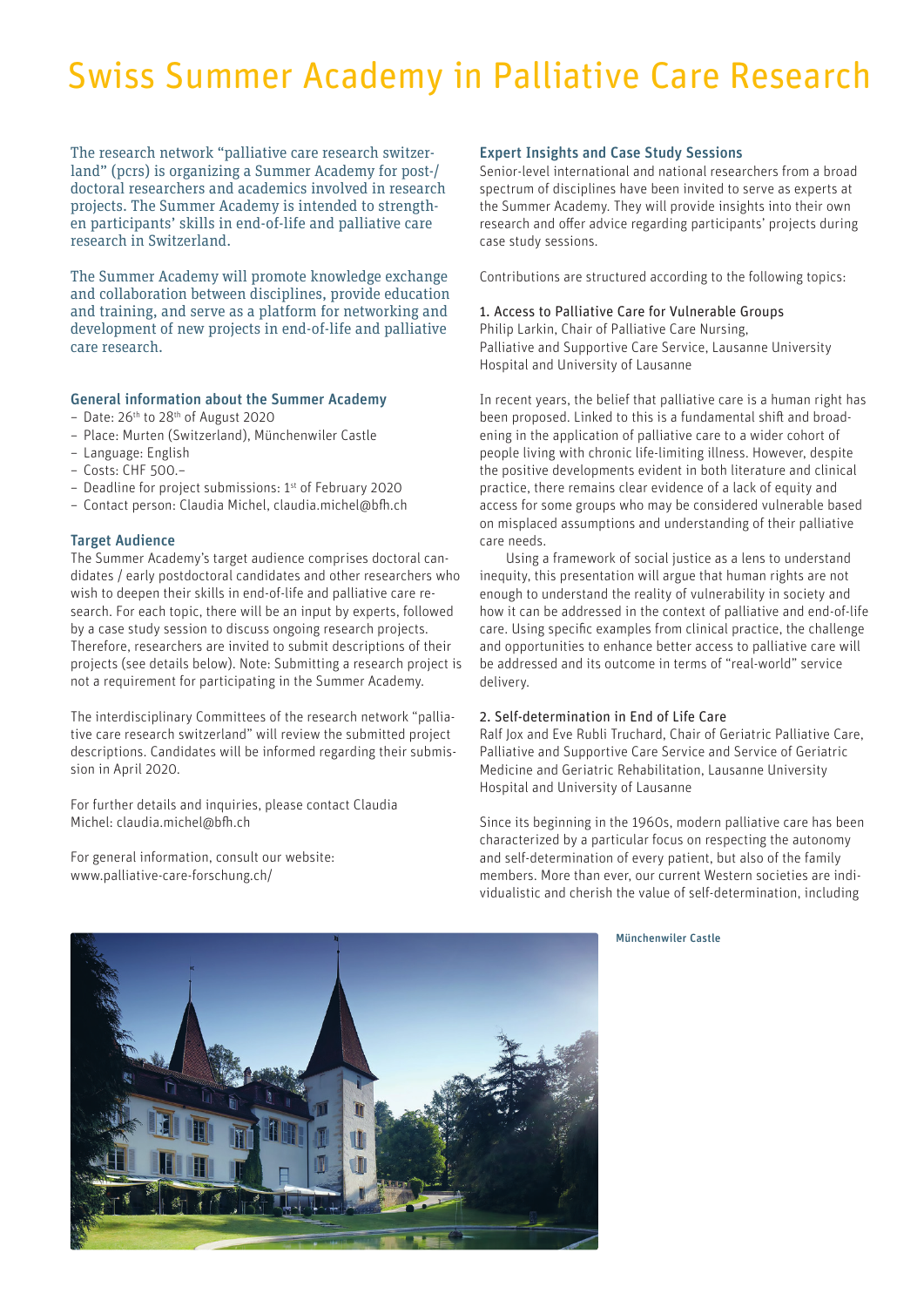# Swiss Summer Academy in Palliative Care Research

The research network "palliative care research switzerland" (pcrs) is organizing a Summer Academy for post-/ doctoral researchers and academics involved in research projects. The Summer Academy is intended to strengthen participants' skills in end-of-life and palliative care research in Switzerland.

The Summer Academy will promote knowledge exchange and collaboration between disciplines, provide education and training, and serve as a platform for networking and development of new projects in end-of-life and palliative care research.

## General information about the Summer Academy

- Date: 26th to 28th of August 2020
- Place: Murten (Switzerland), Münchenwiler Castle
- Language: English
- Costs: CHF 500.–
- Deadline for project submissions: 1st of February 2020
- Contact person: Claudia Michel, claudia.michel@bfh.ch

# Target Audience

The Summer Academy's target audience comprises doctoral candidates / early postdoctoral candidates and other researchers who wish to deepen their skills in end-of-life and palliative care research. For each topic, there will be an input by experts, followed by a case study session to discuss ongoing research projects. Therefore, researchers are invited to submit descriptions of their projects (see details below). Note: Submitting a research project is not a requirement for participating in the Summer Academy.

The interdisciplinary Committees of the research network "palliative care research switzerland" will review the submitted project descriptions. Candidates will be informed regarding their submission in April 2020.

For further details and inquiries, please contact Claudia Michel: claudia.michel@bfh.ch

For general information, consult our website: www.palliative-care-forschung.ch/

## Expert Insights and Case Study Sessions

Senior-level international and national researchers from a broad spectrum of disciplines have been invited to serve as experts at the Summer Academy. They will provide insights into their own research and offer advice regarding participants' projects during case study sessions.

Contributions are structured according to the following topics:

## 1. Access to Palliative Care for Vulnerable Groups

Philip Larkin, Chair of Palliative Care Nursing, Palliative and Supportive Care Service, Lausanne University Hospital and University of Lausanne

In recent years, the belief that palliative care is a human right has been proposed. Linked to this is a fundamental shift and broadening in the application of palliative care to a wider cohort of people living with chronic life-limiting illness. However, despite the positive developments evident in both literature and clinical practice, there remains clear evidence of a lack of equity and access for some groups who may be considered vulnerable based on misplaced assumptions and understanding of their palliative care needs.

Using a framework of social justice as a lens to understand inequity, this presentation will argue that human rights are not enough to understand the reality of vulnerability in society and how it can be addressed in the context of palliative and end-of-life care. Using specific examples from clinical practice, the challenge and opportunities to enhance better access to palliative care will be addressed and its outcome in terms of "real-world" service delivery.

## 2. Self-determination in End of Life Care

Ralf Jox and Eve Rubli Truchard, Chair of Geriatric Palliative Care, Palliative and Supportive Care Service and Service of Geriatric Medicine and Geriatric Rehabilitation, Lausanne University Hospital and University of Lausanne

Since its beginning in the 1960s, modern palliative care has been characterized by a particular focus on respecting the autonomy and self-determination of every patient, but also of the family members. More than ever, our current Western societies are individualistic and cherish the value of self-determination, including

#### Münchenwiler Castle

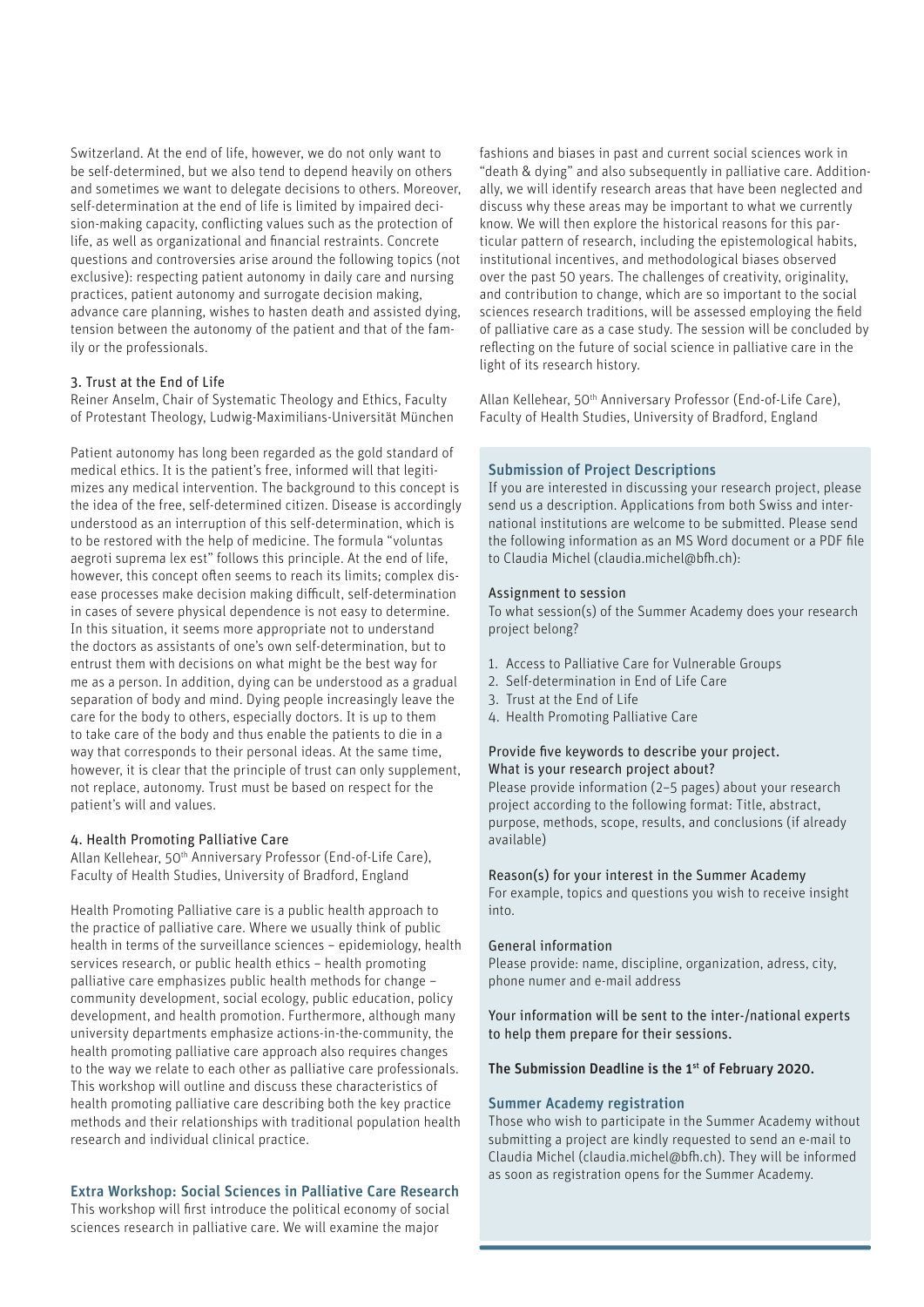Switzerland. At the end of life, however, we do not only want to be self-determined, but we also tend to depend heavily on others and sometimes we want to delegate decisions to others. Moreover, self-determination at the end of life is limited by impaired decision-making capacity, conflicting values such as the protection of life, as well as organizational and financial restraints. Concrete questions and controversies arise around the following topics (not exclusive): respecting patient autonomy in daily care and nursing practices, patient autonomy and surrogate decision making, advance care planning, wishes to hasten death and assisted dying, tension between the autonomy of the patient and that of the family or the professionals.

## 3. Trust at the End of Life

Reiner Anselm, Chair of Systematic Theology and Ethics, Faculty of Protestant Theology, Ludwig-Maximilians-Universität München

Patient autonomy has long been regarded as the gold standard of medical ethics. It is the patient's free, informed will that legitimizes any medical intervention. The background to this concept is the idea of the free, self-determined citizen. Disease is accordingly understood as an interruption of this self-determination, which is to be restored with the help of medicine. The formula "voluntas aegroti suprema lex est" follows this principle. At the end of life, however, this concept often seems to reach its limits; complex disease processes make decision making difficult, self-determination in cases of severe physical dependence is not easy to determine. In this situation, it seems more appropriate not to understand the doctors as assistants of one's own self-determination, but to entrust them with decisions on what might be the best way for me as a person. In addition, dying can be understood as a gradual separation of body and mind. Dying people increasingly leave the care for the body to others, especially doctors. It is up to them to take care of the body and thus enable the patients to die in a way that corresponds to their personal ideas. At the same time, however, it is clear that the principle of trust can only supplement, not replace, autonomy. Trust must be based on respect for the patient's will and values.

## 4. Health Promoting Palliative Care

Allan Kellehear, 50th Anniversary Professor (End-of-Life Care), Faculty of Health Studies, University of Bradford, England

Health Promoting Palliative care is a public health approach to the practice of palliative care. Where we usually think of public health in terms of the surveillance sciences – epidemiology, health services research, or public health ethics – health promoting palliative care emphasizes public health methods for change – community development, social ecology, public education, policy development, and health promotion. Furthermore, although many university departments emphasize actions-in-the-community, the health promoting palliative care approach also requires changes to the way we relate to each other as palliative care professionals. This workshop will outline and discuss these characteristics of health promoting palliative care describing both the key practice methods and their relationships with traditional population health research and individual clinical practice.

## Extra Workshop: Social Sciences in Palliative Care Research

This workshop will first introduce the political economy of social sciences research in palliative care. We will examine the major

fashions and biases in past and current social sciences work in "death & dying" and also subsequently in palliative care. Additionally, we will identify research areas that have been neglected and discuss why these areas may be important to what we currently know. We will then explore the historical reasons for this particular pattern of research, including the epistemological habits, institutional incentives, and methodological biases observed over the past 50 years. The challenges of creativity, originality, and contribution to change, which are so important to the social sciences research traditions, will be assessed employing the field of palliative care as a case study. The session will be concluded by reflecting on the future of social science in palliative care in the light of its research history.

Allan Kellehear, 50<sup>th</sup> Anniversary Professor (End-of-Life Care), Faculty of Health Studies, University of Bradford, England

## Submission of Project Descriptions

If you are interested in discussing your research project, please send us a description. Applications from both Swiss and international institutions are welcome to be submitted. Please send the following information as an MS Word document or a PDF file to Claudia Michel (claudia.michel@bfh.ch):

#### Assignment to session

To what session(s) of the Summer Academy does your research project belong?

- 1. Access to Palliative Care for Vulnerable Groups
- 2. Self-determination in End of Life Care
- 3. Trust at the End of Life
- 4. Health Promoting Palliative Care

# Provide five keywords to describe your project. What is your research project about?

Please provide information (2–5 pages) about your research project according to the following format: Title, abstract, purpose, methods, scope, results, and conclusions (if already available)

#### Reason(s) for your interest in the Summer Academy

For example, topics and questions you wish to receive insight into.

## General information

Please provide: name, discipline, organization, adress, city, phone numer and e-mail address

Your information will be sent to the inter-/national experts to help them prepare for their sessions.

## The Submission Deadline is the 1<sup>st</sup> of February 2020.

## Summer Academy registration

Those who wish to participate in the Summer Academy without submitting a project are kindly requested to send an e-mail to Claudia Michel (claudia.michel@bfh.ch). They will be informed as soon as registration opens for the Summer Academy.